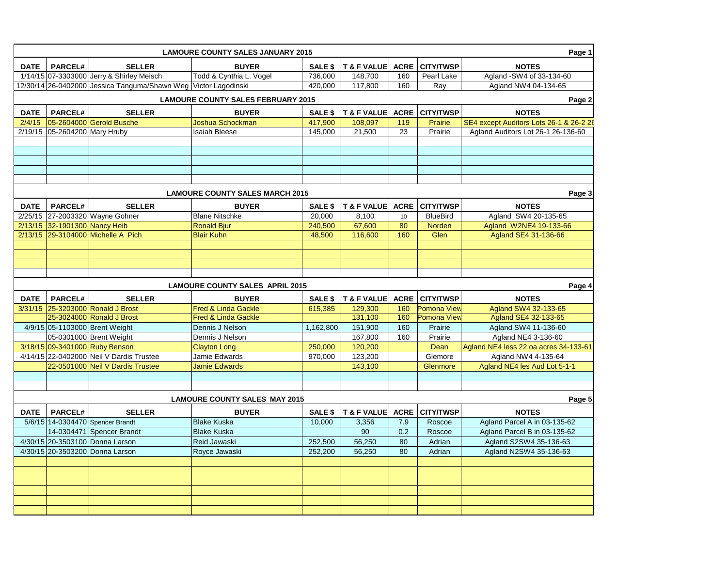|                                           | Page 1<br><b>LAMOURE COUNTY SALES JANUARY 2015</b> |                                                                 |                                        |                |                            |             |                       |                                         |  |
|-------------------------------------------|----------------------------------------------------|-----------------------------------------------------------------|----------------------------------------|----------------|----------------------------|-------------|-----------------------|-----------------------------------------|--|
| DATE                                      | <b>PARCEL#</b>                                     | <b>SELLER</b>                                                   | <b>BUYER</b>                           | SALE \$        | T & F VALUE                | <b>ACRE</b> | <b>CITY/TWSP</b>      | <b>NOTES</b>                            |  |
|                                           |                                                    | 1/14/15 07-3303000 Jerry & Shirley Meisch                       | Todd & Cynthia L. Vogel                | 736,000        | 148,700                    | 160         | Pearl Lake            | Agland -SW4 of 33-134-60                |  |
|                                           |                                                    | 12/30/14 26-0402000 Jessica Tanguma/Shawn Weg Victor Lagodinski |                                        | 420.000        | 117,800                    | 160         | Rav                   | Agland NW4 04-134-65                    |  |
| <b>LAMOURE COUNTY SALES FEBRUARY 2015</b> |                                                    |                                                                 |                                        |                |                            |             |                       | Page 2                                  |  |
| <b>DATE</b>                               | <b>PARCEL#</b>                                     | <b>SELLER</b>                                                   | <b>BUYER</b>                           | SALE \$        | T & F VALUE ACRE CITY/TWSP |             |                       | <b>NOTES</b>                            |  |
|                                           |                                                    | 2/4/15 05-2604000 Gerold Busche                                 | Joshua Schockman                       | 417,900        | 108,097                    | 119         | Prairie               | SE4 except Auditors Lots 26-1 & 26-2 26 |  |
|                                           | 2/19/15 05-2604200 Mary Hruby                      |                                                                 | <b>Isaiah Bleese</b>                   | 145,000        | 21,500                     | 23          | Prairie               | Agland Auditors Lot 26-1 26-136-60      |  |
|                                           |                                                    |                                                                 |                                        |                |                            |             |                       |                                         |  |
|                                           |                                                    |                                                                 |                                        |                |                            |             |                       |                                         |  |
|                                           |                                                    |                                                                 |                                        |                |                            |             |                       |                                         |  |
|                                           |                                                    |                                                                 |                                        |                |                            |             |                       |                                         |  |
|                                           |                                                    |                                                                 |                                        |                |                            |             |                       |                                         |  |
|                                           | Page 3<br><b>LAMOURE COUNTY SALES MARCH 2015</b>   |                                                                 |                                        |                |                            |             |                       |                                         |  |
| <b>DATE</b>                               | <b>PARCEL#</b>                                     | <b>SELLER</b>                                                   | <b>BUYER</b>                           | <b>SALE \$</b> | T & F VALUE ACRE CITY/TWSP |             |                       | <b>NOTES</b>                            |  |
|                                           |                                                    | 2/25/15 27-2003320 Wayne Gohner                                 | <b>Blane Nitschke</b>                  | 20,000         | 8,100                      | 10          | <b>BlueBird</b>       | Agland SW4 20-135-65                    |  |
|                                           | 2/13/15 32-1901300 Nancy Heib                      |                                                                 | <b>Ronald Bjur</b>                     | 240,500        | 67,600                     | 80          | Norden                | Agland W2NE4 19-133-66                  |  |
|                                           |                                                    | 2/13/15 29-3104000 Michelle A Pich                              | <b>Blair Kuhn</b>                      | 48,500         | 116,600                    | 160         | Glen                  | Agland SE4 31-136-66                    |  |
|                                           |                                                    |                                                                 |                                        |                |                            |             |                       |                                         |  |
|                                           |                                                    |                                                                 |                                        |                |                            |             |                       |                                         |  |
|                                           |                                                    |                                                                 |                                        |                |                            |             |                       |                                         |  |
|                                           |                                                    |                                                                 |                                        |                |                            |             |                       |                                         |  |
|                                           |                                                    |                                                                 |                                        |                |                            |             |                       |                                         |  |
|                                           |                                                    |                                                                 | <b>LAMOURE COUNTY SALES APRIL 2015</b> |                |                            |             |                       | Page 4                                  |  |
| <b>DATE</b>                               | <b>PARCEL#</b>                                     | <b>SELLER</b>                                                   | <b>BUYER</b>                           | SALE \$        | <b>T &amp; F VALUE</b>     |             | <b>ACRE CITY/TWSP</b> | <b>NOTES</b>                            |  |
|                                           |                                                    | 3/31/15 25-3203000 Ronald J Brost                               | <b>Fred &amp; Linda Gackle</b>         | 615,385        | 129,300                    | 160         | Pomona View           | Agland SW4 32-133-65                    |  |
|                                           |                                                    | 25-3024000 Ronald J Brost                                       | Fred & Linda Gackle                    |                | 131,100                    | 160         | Pomona View           | Agland SE4 32-133-65                    |  |
|                                           |                                                    | 4/9/15 05-1103000 Brent Weight                                  | Dennis J Nelson                        | 1,162,800      | 151,900                    | 160         | Prairie               | Agland SW4 11-136-60                    |  |
|                                           |                                                    | 05-0301000 Brent Weight                                         | Dennis J Nelson                        |                | 167,800                    | 160         | Prairie               | Agland NE4 3-136-60                     |  |
|                                           |                                                    | 3/18/15 09-3401000 Ruby Benson                                  | <b>Clayton Long</b>                    | 250,000        | 120,200                    |             | Dean                  | Agland NE4 less 22.oa acres 34-133-61   |  |
|                                           |                                                    | 4/14/15 22-0402000 Neil V Dardis Trustee                        | Jamie Edwards                          | 970,000        | 123,200                    |             | Glemore               | Agland NW4 4-135-64                     |  |
|                                           |                                                    | 22-0501000 Neil V Dardis Trustee                                | <b>Jamie Edwards</b>                   |                | 143,100                    |             | Glenmore              | Agland NE4 les Aud Lot 5-1-1            |  |
|                                           |                                                    |                                                                 |                                        |                |                            |             |                       |                                         |  |
|                                           |                                                    |                                                                 |                                        |                |                            |             |                       |                                         |  |
|                                           |                                                    |                                                                 | <b>LAMOURE COUNTY SALES MAY 2015</b>   |                |                            |             |                       | Page 5                                  |  |
| <b>DATE</b>                               | <b>PARCEL#</b>                                     | <b>SELLER</b>                                                   | <b>BUYER</b>                           | SALE \$        | T & F VALUE                |             | <b>ACRE CITY/TWSP</b> | <b>NOTES</b>                            |  |
|                                           |                                                    | 5/6/15 14-0304470 Spencer Brandt                                | <b>Blake Kuska</b>                     | 10,000         | 3,356                      | 7.9         | Roscoe                | Agland Parcel A in 03-135-62            |  |
|                                           |                                                    | 14-0304471 Spencer Brandt                                       | <b>Blake Kuska</b>                     |                | 90                         | 0.2         | Roscoe                | Agland Parcel B in 03-135-62            |  |
|                                           |                                                    | 4/30/15 20-3503100 Donna Larson                                 | <b>Reid Jawaski</b>                    | 252,500        | 56,250                     | 80          | Adrian                | Agland S2SW4 35-136-63                  |  |
|                                           |                                                    | 4/30/15 20-3503200 Donna Larson                                 | Royce Jawaski                          | 252,200        | 56,250                     | 80          | Adrian                | Agland N2SW4 35-136-63                  |  |
|                                           |                                                    |                                                                 |                                        |                |                            |             |                       |                                         |  |
|                                           |                                                    |                                                                 |                                        |                |                            |             |                       |                                         |  |
|                                           |                                                    |                                                                 |                                        |                |                            |             |                       |                                         |  |
|                                           |                                                    |                                                                 |                                        |                |                            |             |                       |                                         |  |
|                                           |                                                    |                                                                 |                                        |                |                            |             |                       |                                         |  |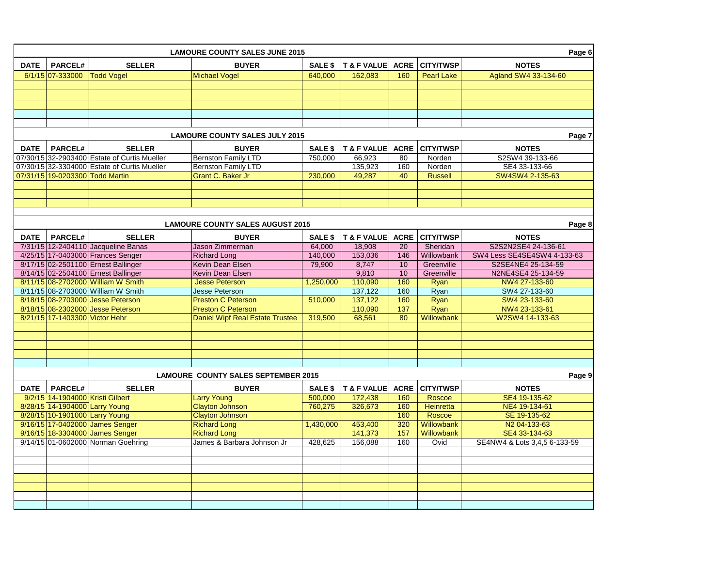|                                                      | <b>LAMOURE COUNTY SALES JUNE 2015</b><br>Page 6   |                                              |                                        |                |                            |     |                       |                              |
|------------------------------------------------------|---------------------------------------------------|----------------------------------------------|----------------------------------------|----------------|----------------------------|-----|-----------------------|------------------------------|
| <b>DATE</b>                                          | <b>PARCEL#</b>                                    | <b>SELLER</b>                                | <b>BUYER</b>                           | SALE \$        | T & F VALUE ACRE CITY/TWSP |     |                       | <b>NOTES</b>                 |
|                                                      | $6/1/15$ 07-333000                                | <b>Todd Vogel</b>                            | <b>Michael Vogel</b>                   | 640,000        | 162,083                    | 160 | <b>Pearl Lake</b>     | Agland SW4 33-134-60         |
|                                                      |                                                   |                                              |                                        |                |                            |     |                       |                              |
|                                                      |                                                   |                                              |                                        |                |                            |     |                       |                              |
|                                                      |                                                   |                                              |                                        |                |                            |     |                       |                              |
|                                                      |                                                   |                                              |                                        |                |                            |     |                       |                              |
|                                                      |                                                   |                                              |                                        |                |                            |     |                       |                              |
|                                                      |                                                   |                                              |                                        |                |                            |     |                       |                              |
|                                                      |                                                   |                                              | <b>LAMOURE COUNTY SALES JULY 2015</b>  |                |                            |     |                       | Page 7                       |
| <b>DATE</b>                                          | PARCEL#                                           | <b>SELLER</b>                                | <b>BUYER</b>                           | SALE \$        | T & F VALUE                |     | <b>ACRE CITY/TWSP</b> | <b>NOTES</b>                 |
|                                                      |                                                   | 07/30/15 32-2903400 Estate of Curtis Mueller | <b>Bernston Family LTD</b>             | 750,000        | 66,923                     | 80  | Norden                | S2SW4 39-133-66              |
|                                                      |                                                   | 07/30/15 32-3304000 Estate of Curtis Mueller | Bernston Family LTD                    |                | 135,923                    | 160 | Norden                | SE4 33-133-66                |
|                                                      | 07/31/15 19-0203300 Todd Martin                   |                                              | Grant C. Baker Jr                      | 230,000        | 49,287                     | 40  | <b>Russell</b>        | SW4SW4 2-135-63              |
|                                                      |                                                   |                                              |                                        |                |                            |     |                       |                              |
|                                                      |                                                   |                                              |                                        |                |                            |     |                       |                              |
|                                                      |                                                   |                                              |                                        |                |                            |     |                       |                              |
|                                                      |                                                   |                                              |                                        |                |                            |     |                       |                              |
|                                                      | <b>LAMOURE COUNTY SALES AUGUST 2015</b><br>Page 8 |                                              |                                        |                |                            |     |                       |                              |
| <b>DATE</b>                                          | <b>PARCEL#</b>                                    | <b>SELLER</b>                                | <b>BUYER</b>                           | SALE \$        | T & F VALUE                |     | <b>ACRE CITY/TWSP</b> | <b>NOTES</b>                 |
|                                                      |                                                   | 7/31/15 12-2404110 Jacqueline Banas          | Jason Zimmerman                        | 64.000         | 18,908                     | 20  | Sheridan              | S2S2N2SE4 24-136-61          |
|                                                      |                                                   | 4/25/15 17-0403000 Frances Senger            | <b>Richard Long</b>                    | 140,000        | 153,036                    | 146 | Willowbank            | SW4 Less SE4SE4SW4 4-133-63  |
|                                                      |                                                   | 8/17/15 02-2501100 Ernest Ballinger          | Kevin Dean Elsen                       | 79,900         | 8,747                      | 10  | Greenville            | S2SE4NE4 25-134-59           |
|                                                      |                                                   | 8/14/15 02-2504100 Ernest Ballinger          | Kevin Dean Elsen                       |                | 9,810                      | 10  | Greenville            | N2NE4SE4 25-134-59           |
|                                                      |                                                   | 8/11/15 08-2702000 William W Smith           | <b>Jesse Peterson</b>                  | 1,250,000      | 110,090                    | 160 | Ryan                  | NW4 27-133-60                |
|                                                      |                                                   | 8/11/15 08-2703000 William W Smith           | Jesse Peterson                         |                | 137,122                    | 160 | Ryan                  | SW4 27-133-60                |
|                                                      |                                                   | 8/18/15 08-2703000 Jesse Peterson            | <b>Preston C Peterson</b>              | 510,000        | 137,122                    | 160 | Ryan                  | SW4 23-133-60                |
|                                                      |                                                   | 8/18/15 08-2302000 Jesse Peterson            | <b>Preston C Peterson</b>              |                | 110,090                    | 137 | Ryan                  | NW4 23-133-61                |
|                                                      | 8/21/15 17-1403300 Victor Hehr                    |                                              | <b>Daniel Wipf Real Estate Trustee</b> | 319,500        | 68,561                     | 80  | Willowbank            | W2SW4 14-133-63              |
|                                                      |                                                   |                                              |                                        |                |                            |     |                       |                              |
|                                                      |                                                   |                                              |                                        |                |                            |     |                       |                              |
|                                                      |                                                   |                                              |                                        |                |                            |     |                       |                              |
|                                                      |                                                   |                                              |                                        |                |                            |     |                       |                              |
|                                                      |                                                   |                                              |                                        |                |                            |     |                       |                              |
| <b>LAMOURE COUNTY SALES SEPTEMBER 2015</b><br>Page 9 |                                                   |                                              |                                        |                |                            |     |                       |                              |
| <b>DATE</b>                                          | <b>PARCEL#</b>                                    | <b>SELLER</b>                                | <b>BUYER</b>                           | <b>SALE \$</b> | T & F VALUE ACRE CITY/TWSP |     |                       | <b>NOTES</b>                 |
|                                                      | 9/2/15 14-1904000 Kristi Gilbert                  |                                              | <b>Larry Young</b>                     | 500,000        | 172,438                    | 160 | Roscoe                | SE4 19-135-62                |
|                                                      | 8/28/15 14-1904000 Larry Young                    |                                              | <b>Clayton Johnson</b>                 | 760,275        | 326,673                    | 160 | <b>Heinretta</b>      | NE4 19-134-61                |
|                                                      | 8/28/15 10-1901000 Larry Young                    |                                              | Clayton Johnson                        |                |                            | 160 | Roscoe                | SE 19-135-62                 |
|                                                      |                                                   | 9/16/15 17-0402000 James Senger              | <b>Richard Long</b>                    | 1,430,000      | 453,400                    | 320 | Willowbank            | N2 04-133-63                 |
|                                                      |                                                   | 9/16/15 18-3304000 James Senger              | <b>Richard Long</b>                    |                | 141,373                    | 157 | Willowbank            | SE4 33-134-63                |
|                                                      |                                                   | 9/14/15 01-0602000 Norman Goehring           | James & Barbara Johnson Jr             | 428,625        | 156,088                    | 160 | Ovid                  | SE4NW4 & Lots 3,4,5 6-133-59 |
|                                                      |                                                   |                                              |                                        |                |                            |     |                       |                              |
|                                                      |                                                   |                                              |                                        |                |                            |     |                       |                              |
|                                                      |                                                   |                                              |                                        |                |                            |     |                       |                              |
|                                                      |                                                   |                                              |                                        |                |                            |     |                       |                              |
|                                                      |                                                   |                                              |                                        |                |                            |     |                       |                              |
|                                                      |                                                   |                                              |                                        |                |                            |     |                       |                              |
|                                                      |                                                   |                                              |                                        |                |                            |     |                       |                              |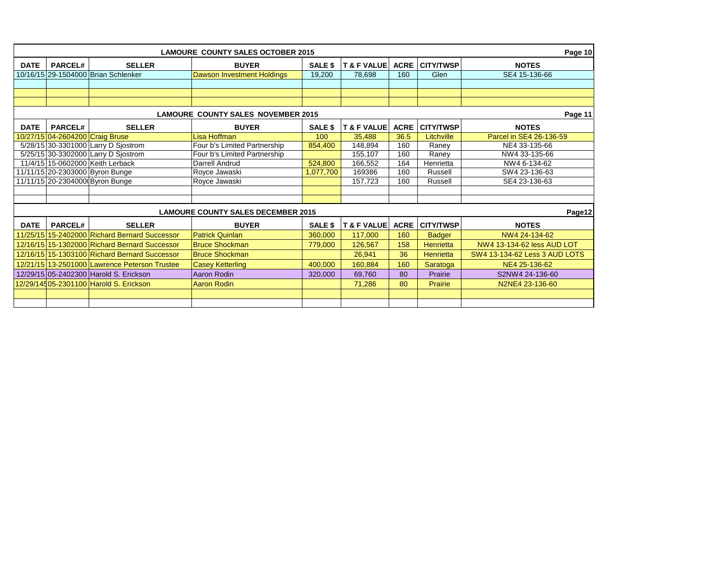|                                                      | <b>LAMOURE COUNTY SALES OCTOBER 2015</b><br>Page 10 |                                               |                                   |                |                        |             |                  |                               |  |
|------------------------------------------------------|-----------------------------------------------------|-----------------------------------------------|-----------------------------------|----------------|------------------------|-------------|------------------|-------------------------------|--|
| <b>DATE</b>                                          | <b>PARCEL#</b>                                      | <b>SELLER</b>                                 | <b>BUYER</b>                      | <b>SALE \$</b> | <b>T &amp; F VALUE</b> | <b>ACRE</b> | <b>CITY/TWSP</b> | <b>NOTES</b>                  |  |
|                                                      |                                                     | 10/16/15 29-1504000 Brian Schlenker           | <b>Dawson Investment Holdings</b> | 19,200         | 78,698                 | 160         | Glen             | SE4 15-136-66                 |  |
|                                                      |                                                     |                                               |                                   |                |                        |             |                  |                               |  |
|                                                      |                                                     |                                               |                                   |                |                        |             |                  |                               |  |
|                                                      |                                                     |                                               |                                   |                |                        |             |                  |                               |  |
| <b>LAMOURE COUNTY SALES NOVEMBER 2015</b><br>Page 11 |                                                     |                                               |                                   |                |                        |             |                  |                               |  |
| <b>DATE</b>                                          | <b>PARCEL#</b>                                      | <b>SELLER</b>                                 | <b>BUYER</b>                      | <b>SALE \$</b> | <b>T &amp; F VALUE</b> | <b>ACRE</b> | <b>CITY/TWSP</b> | <b>NOTES</b>                  |  |
|                                                      |                                                     | 10/27/15 04-2604200 Craig Bruse               | Lisa Hoffman                      | 100            | 35.488                 | 36.5        | Litchville       | Parcel in SE4 26-136-59       |  |
|                                                      |                                                     | 5/28/15 30-3301000 Larry D Sjostrom           | Four b's Limited Partnership      | 854,400        | 148.894                | 160         | Raney            | NE4 33-135-66                 |  |
|                                                      |                                                     | 5/25/15 30-3302000 Larry D Sjostrom           | Four b's Limited Partnership      |                | 155,107                | 160         | Raney            | NW4 33-135-66                 |  |
|                                                      |                                                     | 11/4/15 15-0602000 Keith Lerback              | <b>Darrell Andrud</b>             | 524,800        | 166,552                | 164         | Henrietta        | NW4 6-134-62                  |  |
|                                                      |                                                     | 11/11/15 20-2303000 Byron Bunge               | Royce Jawaski                     | 1.077.700      | 169386                 | 160         | Russell          | SW4 23-136-63                 |  |
|                                                      |                                                     | 11/11/15 20-2304000 Byron Bunge               | Royce Jawaski                     |                | 157,723                | 160         | Russell          | SE4 23-136-63                 |  |
|                                                      |                                                     |                                               |                                   |                |                        |             |                  |                               |  |
|                                                      |                                                     |                                               |                                   |                |                        |             |                  |                               |  |
| <b>LAMOURE COUNTY SALES DECEMBER 2015</b><br>Page12  |                                                     |                                               |                                   |                |                        |             |                  |                               |  |
| <b>DATE</b>                                          | <b>PARCEL#</b>                                      | <b>SELLER</b>                                 | <b>BUYER</b>                      | SALE \$        | <b>T &amp; F VALUE</b> | <b>ACRE</b> | <b>CITY/TWSP</b> | <b>NOTES</b>                  |  |
|                                                      |                                                     | 11/25/15 15-2402000 Richard Bernard Successor | <b>Patrick Quinlan</b>            | 360,000        | 117,000                | 160         | <b>Badger</b>    | NW4 24-134-62                 |  |
|                                                      |                                                     | 12/16/15 15-1302000 Richard Bernard Successor | <b>Bruce Shockman</b>             | 779,000        | 126,567                | 158         | Henrietta        | NW4 13-134-62 less AUD LOT    |  |
|                                                      |                                                     | 12/16/15 15-1303100 Richard Bernard Successor | <b>Bruce Shockman</b>             |                | 26,941                 | 36          | Henrietta        | SW4 13-134-62 Less 3 AUD LOTS |  |
|                                                      |                                                     | 12/21/15 13-2501000 Lawrence Peterson Trustee | <b>Casey Ketterling</b>           | 400,000        | 160,884                | 160         | Saratoga         | NE4 25-136-62                 |  |
|                                                      |                                                     | 12/29/15 05-2402300 Harold S. Erickson        | Aaron Rodin                       | 320,000        | 69,760                 | 80          | Prairie          | S2NW4 24-136-60               |  |
|                                                      |                                                     | 12/29/14505-2301100 Harold S. Erickson        | <b>Aaron Rodin</b>                |                | 71,286                 | 80          | Prairie          | N2NE4 23-136-60               |  |
|                                                      |                                                     |                                               |                                   |                |                        |             |                  |                               |  |
|                                                      |                                                     |                                               |                                   |                |                        |             |                  |                               |  |